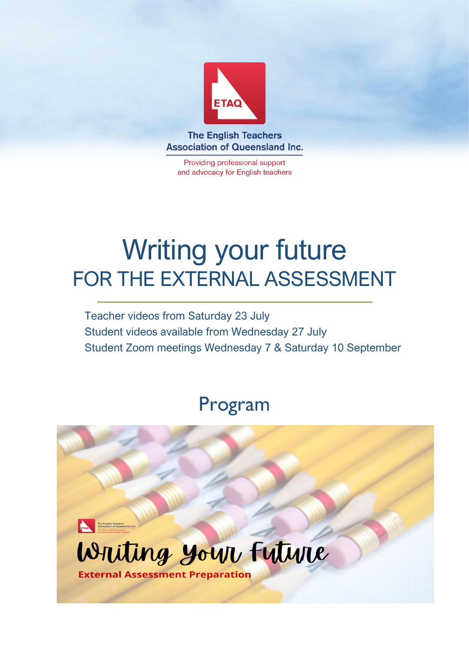

**The English Teachers Association of Queensland Inc.** 

Providing professional support and advocacy for English teachers

# Writing your future FOR THE EXTERNAL ASSESSMENT

Teacher videos from Saturday 23 July Student videos available from Wednesday 27 July Student Zoom meetings Wednesday 7 & Saturday 10 September

## Program

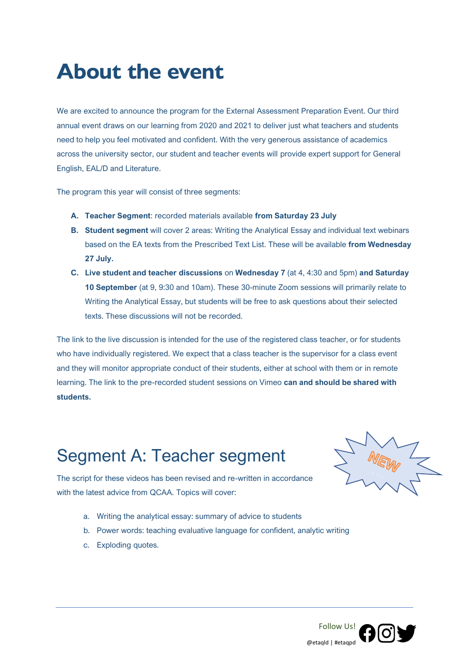## **About the event**

We are excited to announce the program for the External Assessment Preparation Event. Our third annual event draws on our learning from 2020 and 2021 to deliver just what teachers and students need to help you feel motivated and confident. With the very generous assistance of academics across the university sector, our student and teacher events will provide expert support for General English, EAL/D and Literature.

The program this year will consist of three segments:

- **A. Teacher Segment**: recorded materials available **from Saturday 23 July**
- **B. Student segment** will cover 2 areas: Writing the Analytical Essay and individual text webinars based on the EA texts from the Prescribed Text List. These will be available **from Wednesday 27 July.**
- **C. Live student and teacher discussions** on **Wednesday 7** (at 4, 4:30 and 5pm) **and Saturday 10 September** (at 9, 9:30 and 10am). These 30-minute Zoom sessions will primarily relate to Writing the Analytical Essay, but students will be free to ask questions about their selected texts. These discussions will not be recorded.

The link to the live discussion is intended for the use of the registered class teacher, or for students who have individually registered. We expect that a class teacher is the supervisor for a class event and they will monitor appropriate conduct of their students, either at school with them or in remote learning. The link to the pre-recorded student sessions on Vimeo **can and should be shared with students.**

## Segment A: Teacher segment



The script for these videos has been revised and re-written in accordance with the latest advice from QCAA. Topics will cover:

- a. Writing the analytical essay: summary of advice to students
- b. Power words: teaching evaluative language for confident, analytic writing
- c. Exploding quotes.

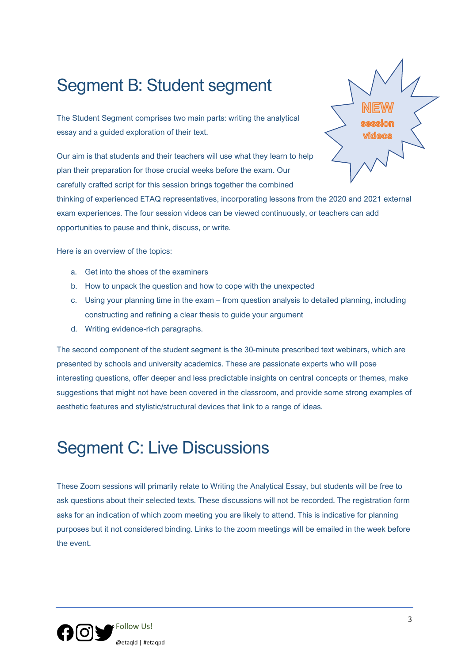### Segment B: Student segment

The Student Segment comprises two main parts: writing the analytical essay and a guided exploration of their text.

Our aim is that students and their teachers will use what they learn to help plan their preparation for those crucial weeks before the exam. Our carefully crafted script for this session brings together the combined

thinking of experienced ETAQ representatives, incorporating lessons from the 2020 and 2021 external exam experiences. The four session videos can be viewed continuously, or teachers can add opportunities to pause and think, discuss, or write.

Here is an overview of the topics:

- a. Get into the shoes of the examiners
- b. How to unpack the question and how to cope with the unexpected
- c. Using your planning time in the exam from question analysis to detailed planning, including constructing and refining a clear thesis to guide your argument
- d. Writing evidence-rich paragraphs.

The second component of the student segment is the 30-minute prescribed text webinars, which are presented by schools and university academics. These are passionate experts who will pose interesting questions, offer deeper and less predictable insights on central concepts or themes, make suggestions that might not have been covered in the classroom, and provide some strong examples of aesthetic features and stylistic/structural devices that link to a range of ideas.

### Segment C: Live Discussions

These Zoom sessions will primarily relate to Writing the Analytical Essay, but students will be free to ask questions about their selected texts. These discussions will not be recorded. The registration form asks for an indication of which zoom meeting you are likely to attend. This is indicative for planning purposes but it not considered binding. Links to the zoom meetings will be emailed in the week before the event.

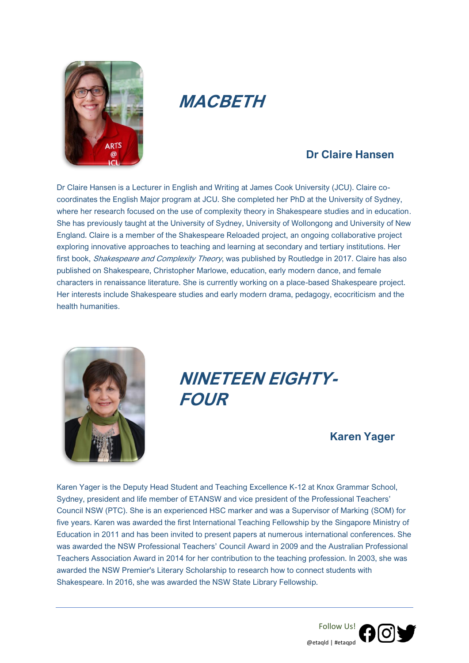

### **MACBETH**

### **Dr Claire Hansen**

Dr Claire Hansen is a Lecturer in English and Writing at James Cook University (JCU). Claire cocoordinates the English Major program at JCU. She completed her PhD at the University of Sydney, where her research focused on the use of complexity theory in Shakespeare studies and in education. She has previously taught at the University of Sydney, University of Wollongong and University of New England. Claire is a member of the Shakespeare Reloaded project, an ongoing collaborative project exploring innovative approaches to teaching and learning at secondary and tertiary institutions. Her first book, *Shakespeare and Complexity Theory*, was published by Routledge in 2017. Claire has also published on Shakespeare, Christopher Marlowe, education, early modern dance, and female characters in renaissance literature. She is currently working on a place-based Shakespeare project. Her interests include Shakespeare studies and early modern drama, pedagogy, ecocriticism and the health humanities.



## **NINETEEN EIGHTY-FOUR**

#### **Karen Yager**

Karen Yager is the Deputy Head Student and Teaching Excellence K-12 at Knox Grammar School, Sydney, president and life member of ETANSW and vice president of the Professional Teachers' Council NSW (PTC). She is an experienced HSC marker and was a Supervisor of Marking (SOM) for five years. Karen was awarded the first International Teaching Fellowship by the Singapore Ministry of Education in 2011 and has been invited to present papers at numerous international conferences. She was awarded the NSW Professional Teachers' Council Award in 2009 and the Australian Professional Teachers Association Award in 2014 for her contribution to the teaching profession. In 2003, she was awarded the NSW Premier's Literary Scholarship to research how to connect students with Shakespeare. In 2016, she was awarded the NSW State Library Fellowship.

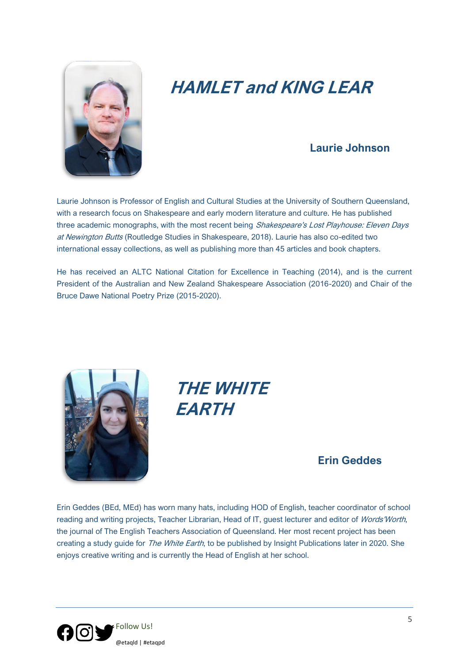

## **HAMLET and KING LEAR**

### **Laurie Johnson**

Laurie Johnson is Professor of English and Cultural Studies at the University of Southern Queensland, with a research focus on Shakespeare and early modern literature and culture. He has published three academic monographs, with the most recent being Shakespeare's Lost Playhouse: Eleven Days at Newington Butts (Routledge Studies in Shakespeare, 2018). Laurie has also co-edited two international essay collections, as well as publishing more than 45 articles and book chapters.

He has received an ALTC National Citation for Excellence in Teaching (2014), and is the current President of the Australian and New Zealand Shakespeare Association (2016-2020) and Chair of the Bruce Dawe National Poetry Prize (2015-2020).



**THE WHITE EARTH**

#### **Erin Geddes**

Erin Geddes (BEd, MEd) has worn many hats, including HOD of English, teacher coordinator of school reading and writing projects, Teacher Librarian, Head of IT, guest lecturer and editor of Words'Worth, the journal of The English Teachers Association of Queensland. Her most recent project has been creating a study guide for The White Earth, to be published by Insight Publications later in 2020. She enjoys creative writing and is currently the Head of English at her school.

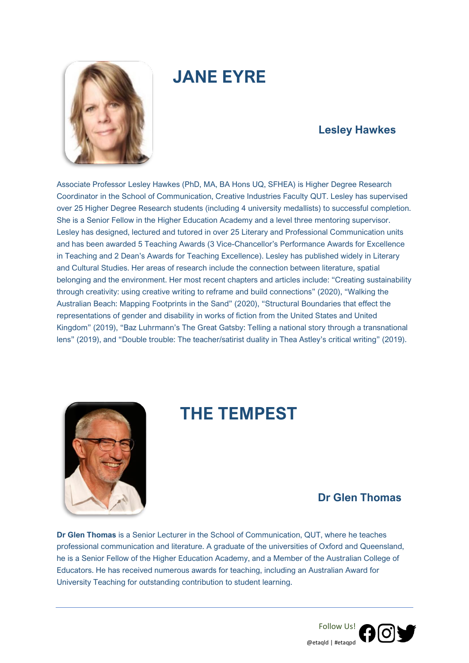

## **JANE EYRE**

### **Lesley Hawkes**

Associate Professor Lesley Hawkes (PhD, MA, BA Hons UQ, SFHEA) is Higher Degree Research Coordinator in the School of Communication, Creative Industries Faculty QUT. Lesley has supervised over 25 Higher Degree Research students (including 4 university medallists) to successful completion. She is a Senior Fellow in the Higher Education Academy and a level three mentoring supervisor. Lesley has designed, lectured and tutored in over 25 Literary and Professional Communication units and has been awarded 5 Teaching Awards (3 Vice-Chancellor's Performance Awards for Excellence in Teaching and 2 Dean's Awards for Teaching Excellence). Lesley has published widely in Literary and Cultural Studies. Her areas of research include the connection between literature, spatial belonging and the environment. Her most recent chapters and articles include: "Creating sustainability through creativity: using creative writing to reframe and build connections" (2020), "Walking the Australian Beach: Mapping Footprints in the Sand" (2020), "Structural Boundaries that effect the representations of gender and disability in works of fiction from the United States and United Kingdom" (2019), "Baz Luhrmann's The Great Gatsby: Telling a national story through a transnational lens" (2019), and "Double trouble: The teacher/satirist duality in Thea Astley's critical writing" (2019).



### **THE TEMPEST**

### **Dr Glen Thomas**

**Dr Glen Thomas** is a Senior Lecturer in the School of Communication, QUT, where he teaches professional communication and literature. A graduate of the universities of Oxford and Queensland, he is a Senior Fellow of the Higher Education Academy, and a Member of the Australian College of Educators. He has received numerous awards for teaching, including an Australian Award for University Teaching for outstanding contribution to student learning.

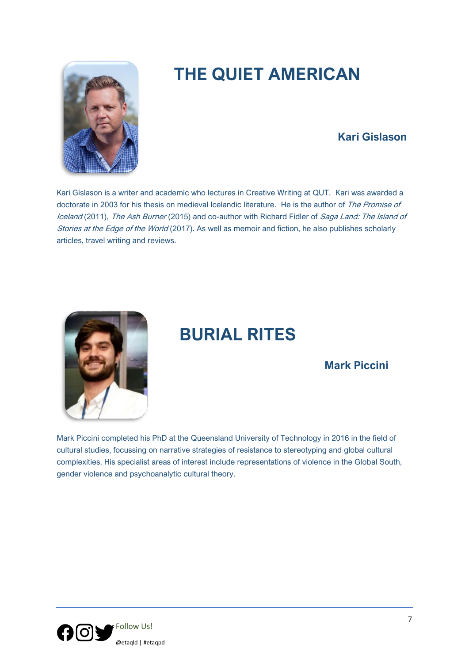

## **THE QUIET AMERICAN**

### **Kari Gislason**

Kari Gíslason is a writer and academic who lectures in Creative Writing at QUT. Kari was awarded a doctorate in 2003 for his thesis on medieval Icelandic literature. He is the author of The Promise of Iceland (2011), The Ash Burner (2015) and co-author with Richard Fidler of Saga Land: The Island of Stories at the Edge of the World (2017). As well as memoir and fiction, he also publishes scholarly articles, travel writing and reviews.



### **BURIAL RITES**

### **Mark Piccini**

Mark Piccini completed his PhD at the Queensland University of Technology in 2016 in the field of cultural studies, focussing on narrative strategies of resistance to stereotyping and global cultural complexities. His specialist areas of interest include representations of violence in the Global South, gender violence and psychoanalytic cultural theory.

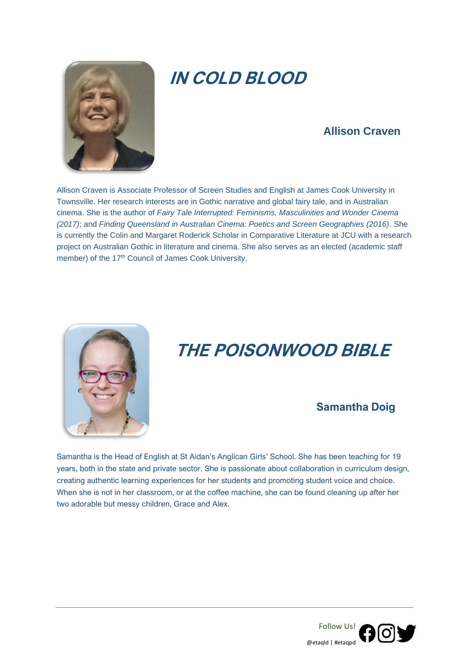

## **IN COLD BLOOD**

### **Allison Craven**

Allison Craven is Associate Professor of Screen Studies and English at James Cook University in Townsville. Her research interests are in Gothic narrative and global fairy tale, and in Australian cinema. She is the author of *Fairy Tale Interrupted: Feminisms, Masculinities and Wonder Cinema (2017)*; and *Finding Queensland in Australian Cinema: Poetics and Screen Geographies (2016)*. She is currently the Colin and Margaret Roderick Scholar in Comparative Literature at JCU with a research project on Australian Gothic in literature and cinema. She also serves as an elected (academic staff member) of the 17<sup>th</sup> Council of James Cook University.



## **THE POISONWOOD BIBLE**

### **Samantha Doig**

Samantha is the Head of English at St Aidan's Anglican Girls' School. She has been teaching for 19 years, both in the state and private sector. She is passionate about collaboration in curriculum design, creating authentic learning experiences for her students and promoting student voice and choice. When she is not in her classroom, or at the coffee machine, she can be found cleaning up after her two adorable but messy children, Grace and Alex.

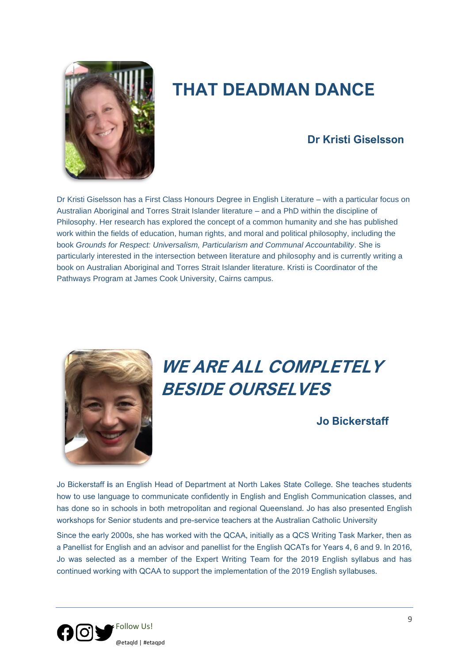

## **THAT DEADMAN DANCE**

### **Dr Kristi Giselsson**

Dr Kristi Giselsson has a First Class Honours Degree in English Literature – with a particular focus on Australian Aboriginal and Torres Strait Islander literature – and a PhD within the discipline of Philosophy. Her research has explored the concept of a common humanity and she has published work within the fields of education, human rights, and moral and political philosophy, including the book *Grounds for Respect: Universalism, Particularism and Communal Accountability*. She is particularly interested in the intersection between literature and philosophy and is currently writing a book on Australian Aboriginal and Torres Strait Islander literature. Kristi is Coordinator of the Pathways Program at James Cook University, Cairns campus.



## **WE ARE ALL COMPLETELY BESIDE OURSELVES**

### **Jo Bickerstaff**

Jo Bickerstaff **i**s an English Head of Department at North Lakes State College. She teaches students how to use language to communicate confidently in English and English Communication classes, and has done so in schools in both metropolitan and regional Queensland. Jo has also presented English workshops for Senior students and pre-service teachers at the Australian Catholic University

Since the early 2000s, she has worked with the QCAA, initially as a QCS Writing Task Marker, then as a Panellist for English and an advisor and panellist for the English QCATs for Years 4, 6 and 9. In 2016, Jo was selected as a member of the Expert Writing Team for the 2019 English syllabus and has continued working with QCAA to support the implementation of the 2019 English syllabuses.